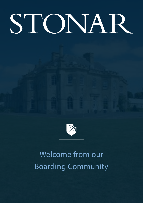# STONAR



## Welcome from our Boarding Community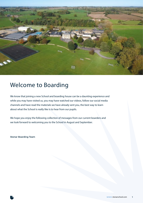

## Welcome to Boarding

We know that joining a new School and boarding house can be a daunting experience and while you may have visited us, you may have watched our videos, follow our social media channels and have read the materials we have already sent you, the best way to learn about what the School is really like is to hear from our pupils.

We hope you enjoy the following collection of messages from our current boarders and we look forward to welcoming you to the School in August and September.

**Stonar Boarding Team**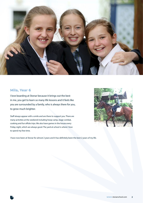

#### **Mila, Year 6**

I love boarding at Stonar because it brings out the best in me, you get to learn so many life lessons and it feels like you are surrounded by a family, who is always there for you, to grow much brighter.

Staff always appear with a smile and are there to support you. There are many activities at the weekend including hoop camp, stage combat, cooking and fun offsite trips. We also have games in the house every Friday night, which are always good. The yard at school is where I love to spend my free time.



I have now been at Stonar for almost 2 years and it has definitely been the best 2 years of my life.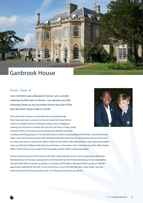

## Ganbrook House

#### **Kosi, Year 8**

I am a thirteen-year-old pupil at Stonar. I am currently entering my third year at Stonar. I can reassure you that choosing Stonar as my Secondary School was one of the best decisions I have made in my life.

The community at Stonar is extremely welcoming and friendly. There has never been a moment in time at Stonar that I have felt out of place or isolated. Stonar is extremely inclusive and is amazing at making sure everyone is involved. Not only this, but there is never a quiet moment at Stonar. Of course, you are allowed your freedom but there



is always something going on. From activities, sports matches and boarding activities like a chocolate fondue night; I never feel bored at school! I feel wholeheartedly that Stonar has the best pastoral care out there! Trust me, there have been so many times where I waltz into Mrs Tilley's office feeling blue or with a genuine problem. I also say with full confidence that there has never been a time where I don't walk back out of the office feeling better. There is just so much support from the pupils and the staff so I always feel happy.

One of my favourite parts of the school is the Yard. I absolutely love horses, I love to spend time with them. My favourite part of my day is going down to the Yard with my best friend and having a lovely conversation through stalls while we groom our ponies. I can always ask for help or talk about what is going on and feel appreciated and loved at the end. To sum it up Stonar is one of the best decisions I have made. I love the environment and all the communities and I am 100 percent sure that you will too.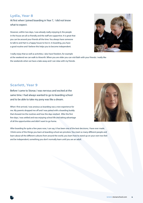#### **Lydia, Year 8**

At first when I joined boarding in Year 7, I did not know what to expect.

However, within two days, I was already really enjoying it; the people in the house are all so friendly and the staff are supportive. It is great that you can be around your friends all the time. You always have someone to talk to and Hart is a happy house to live in. In boarding, you have a good routine and I believe this helps you to become independent.

I really enjoy that as well as activities, I also have freedom, for example

at the weekend we can walk to Atworth. When you are older you can visit Bath with your friends. I really like the weekends when we have a take away and I can relax with my friends.

#### **Scarlett, Year 9**

Before I came to Stonar, I was nervous and excited at the same time. I had always wanted to go to boarding school and to be able to take my pony was like a dream.

When I first arrived, I was anxious as boarding was a new experience for me. My parents dropped me off and I was paired with a boarding buddy that showed me the routines and how the days worked. After the first few days, I was settled and was enjoying school life and taking advantage of all the opportunities and didn't want to go home.

[potential photo from Anna **Barclay** show the shoot of

After boarding for quite a few years now, I can say, it has been one of the best decisions, I have ever made. I think some of the things you learn at boarding school are priceless. You meet so many different people and learn about all the different cultures from around the world, you learn how to stand up on your own two feet and be independent; something you don't normally learn until you are an adult.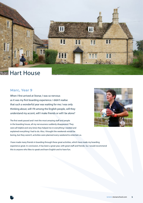

## **Hart House**

#### **Marc, Year 9**

When I first arrived at Stonar, I was so nervous as it was my first boarding experience. I didn't realise that such a wonderful year was waiting for me; I was only thinking about, will I fit among the English people, will they understand my accent, will I make friends or will I be alone?

The first week passed and I met the most amazing staff and people in the boarding house, all my nervousness suddenly disappeared. They were all helpful and very kind, they helped me in everything I needed and explained everything I had to do. Also, I thought the weekends would be boring, but they weren't, activities were planned every weekend to entertain us.



I have made many friends in boarding through these great activities, which have made my boarding experience great. In conclusion, it has been a great year, with great staff and friends. So, I would recommend this to anyone who likes to speak and learn English and to have fun.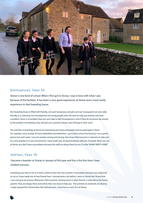

#### **Emmanuel, Year 10**

Stonar is one kind of school. When I first got to Stonar, I was in love with what I saw because of the facilities. It has been a very good experience at Stonar and a more lovely experience in Hart boarding house.

Hart boarding house is filled with friendly, nice and loving boys and girls and our houseparent are also really friendly, it is a blessing. Our houseparents are loving people who will want to help you anytime you have a problem, there is no problem that you can't take to Hart houseparent's. Even if they do not know the answer to the problem immediately, they will give you a positive answer and will keep to their word.

The activities in boarding at Stonar are interesting and lively and people want to participate in them. For example, every Sunday we have basketball and badminton, I go to them every time because I am a sporty person but each week, I see new people coming and joining, that shows that everyone is welcome to take part. As a new boarder to a new environment, I have made very strong friendships with lots of people. When you are at Stonar, you don't have any problems because the staff are always there for you. It is like "HOME SWEET HOME".

#### **Adrian, Year 10**

I became a boarder at Stonar in January of this year and this is the first time I have studied overseas.

Everything was new to me so it took a while to learn the new routines. Fortunately, everyone was really kind to me so I have made lots of new friends here. I worried quite a lot before I came to Stonar but I found that I was wrong to be anxious. Whenever I felt homesick, missing home or other friends, I could talk to the house parents. They are always there and will do their very best to help you. The activities at weekends are diverse; I really enjoyed the Chinese New Year festival event. I have had so much fun at Stonar.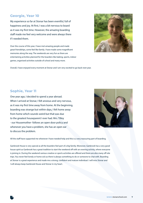#### **Georgie, Year 10**

My experience so far at Stonar has been eventful, full of happiness and joy. At first, I was a bit nervous to board as it was my first time. However, the amazing boarding staff made me feel very welcome and were always there if I needed them.

Over the course of this year, I have met amazing people and made great friendships, some feel like family. I have made some magnificent memories along the way. The weekends are very fun as there are entertaining activities planned for the boarders like baking, sports, indoor games, organised activities outside of school and many more.



Overall, I have enjoyed every moment at Stonar and I am very excited to go back next year.

#### **Sophie, Year 11**

One year ago, I decided to spend a year abroad. When I arrived at Stonar, I felt anxious and very nervous, as it was my first time away from home. At the beginning, boarding was strange but within days, I felt home away from home which sounds weird but that was due to the greatest houseparent I ever had. Mrs. Tilley - our Housemother- follows an open door policy and whenever you have a problem, she has an open ear to discuss the problem.



All the staff have supported me whenever I have needed help and this is a very reassuring part of boarding.

Ganbrook House is very special as all the boarders feel part of a big family. Moreover, Ganbrook has a very good house spirit as Ganbrook has a great tradition to start the weekend off with an evening activity, where everyone is joining in. During the weekend various creative or sports activities are offered and there are also many off-site trips. You never feel lonely or home sick as there is always something to do or someone to chat with. Boarding at Stonar is a great experience and made me a strong, confident and mature individual. I will miss Stonar and I will always keep Ganbrook House and Stonar in my heart.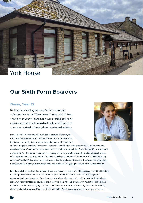## York House

### **Our Sixth Form Boarders**

#### **Daisy, Year 12**

I'm from Surrey in England and I've been a boarder at Stonar since Year 9. When I joined Stonar in 2016, I was only thirteen years old and had never boarded before. My main concern was that I would not make any friends, but as soon as I arrived at Stonar, those worries melted away.

I can remember my first day with such clarity because of the way the staff and current pupils introduced themselves and welcomed me into the Stonar community. Our houseparent spoke to us on the first night



and encouraged us to make the most of all Stonar has to offer. That is the best advice I could hope to pass on as I can tell you from my own experience that if you fully embrace all that Stonar has to offer, you will have a great time. Another concern was how was I going to find my way about the school site and I recall asking, what appeared to me as the grown-ups, but were actually just members of the Sixth Form for directions to my next class. They helpfully pointed me in the correct direction and asked if we were ok, as being in the Sixth Form is not just about studying, but also about being role models for the younger years, as you will soon discover.

For A Levels I chose to study Geography, History and Physics. I chose those subjects because staff that inspired me and sparked my desire to learn about the subjects to a higher level teach them. One thing that is guaranteed at Stonar is support. From the tutors who cheerfully greet their pupils in the mornings and who are always full of fantastic life advice. To the subject teachers who I've found always make time to help their students, even if it means staying late. To the Sixth Form team who are so knowledgeable about university choices and applications, and finally, to the house staff in York who are always there when you need them,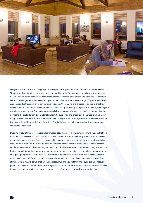

everyone at Stonar wants to help you get the best possible experience out of your time in the Sixth Form. Stonar School's main values are respect, resilience and integrity. This means that pupils are encouraged to become people with whom others will want to interact, and these core values govern the way Stonar pupils live and study together. We all have the opportunity to shine, as there is a wide range of opportunities, both academic and extra curricular, to suit our diverse talents. At Stonar no one is forced to do things that they don't want to do, but you are always offered the chance to try to develop your particular abilities, building your confidence in small steps. One major reason why I chose to come to Stonar, and remain, is the yard. I am by no means the best rider but it doesn't matter, I am still supported and encouraged. The yard is where many of my own and my friends' happiest memories have taken place and, even if you do not like horses, everyone is welcome there. The yard staff and Equestrian Assistants make it a welcoming and positive environment in which to spend time.

Deciding to stay at Stonar for the Sixth Form was an easy choice for me in comparison with the one that you have made, especially if you have chosen to come to Stonar from another country, I was still apprehensive as it meant change. I moved from Hart House, which had been my home for 3 years, to York, with entirely new staff and more freedom! There was no need for concern however, because at the end of the first week the whole Sixth Form cohort, both existing and new pupils, had become a great community. It might sound like I'm just saying this, but I can assure you that everyone you meet is genuinely trying to help you navigate the change of going from GCSEs to A Levels. I know from experience it is a great transition to make and those of us already here look forward to welcoming you into York in September. I can assure you that your time at Stonar, like mine, will be full of so much unexpected fun and you will truly find your place amongst your peers. If you have any queries or doubts once you arrive, just ask other students or house staff. We can't wait to meet you and for you to experience all Stonar has to offer. I am sure you will love your time here.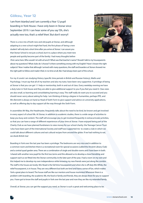#### **Göksu, Year 12**

I am from Istanbul and I am currently a Year 12 pupil boarding in York House. I have only been in Stonar since September 2019. I can hear some of you say 'Oh, she's actually new too, that's a relief then'. But don't worry!!

There is a nice mix of both new and old pupils at Stonar, and although adapting to a new school might feel hard, the first phase of 'being a new student' will only last a short time after you arrive at Stonar. I can assure you that Stonar School is not just a school, but it is a place where you meet new people and quickly become part of the family. I had many thoughts before



I first came here. Who would I sit with at lunch? What was that teacher's name? Should I talk to my houseparents about my questions? What clubs do I choose? Is there something wrong with my English? Have I chosen the right subjects? Now I realise that although I arrived with many questions, the staff and boarders at Stonar showed me the right path to follow and made it feel, in no time at all, like I had always been part of the school.

For my A Levels I am studying History (specific time periods in British and Russian history), Maths and Psychology. I must say that all of my teachers and also my tutor, have been very supportive. A privilege of being at Stonar is that you can get 1:1 help or mentorship, both in and out of class. Every weekday evening we have a duty tutor in York house and they are able to give additional support to you if you feel you need it. Class sizes are also small, so learning and consolidating learning is easy. The staff really do want you to succeed and you should never worry about asking for help. I am thinking of doing a degree in humanities, perhaps PPE, and Mrs Bennett is always on hand as Head of Sixth Form to give support and advice on university applications, as well as offering day to day support all the way through the Sixth Form.

In assemblies Mr Way, the Headmaster, frequently talks about the need to be kind, be known and get involved in every aspect of school life. At Stonar, in addition to academic studies, there is a wide range of activities to keep you busy and content. The staff will encourage you to get involved frequently in extracurricular activities, so that you can have a range of different experiences of your time at Stonar. I have enjoyed being part of the Charity Club as we have planned fundraisers to raise money for our school charity: the Teenage Cancer Trust. I also have been part of the International Society and staff have supported me to create a club in which we could talk about different cultures and eat cultural recipes from around the globe. If we had nothing to eat, we drank British tea!

Boarding in York over the last year has been a privilege. The bedrooms are very nice and in addition to a common room and kitchen there is a recreational room for special occasions (called the Ancient Library Club) and a central quad garden area. There are a combination of single and double rooms and I have been in both. I shared with another new pupil for the first two terms and this allowed us to develop a close friendship and support each as we fitted into the Stonar community. In the later part of the year, I had a room on my own and this helped me to develop my own independence while knowing my new friends were just along the corridor. The staff in the house are lovely: Mrs Noad is the full time houseparent and when she is off duty Mrs White, the relief houseparent, is in house. They are very different but both are kind and have a sense of fun, which makes York a great place to board. The house staff are like our mentors and house mummies! Whenever there is a problem with boarding, the academic life, the food or family and friends, they are always there for you to support you. I have got to know the staff and pupils in York over the last year and now they are like my extended family.

Overall, at Stonar, you can get the support you need, as Stonar is such a great and welcoming place to be.